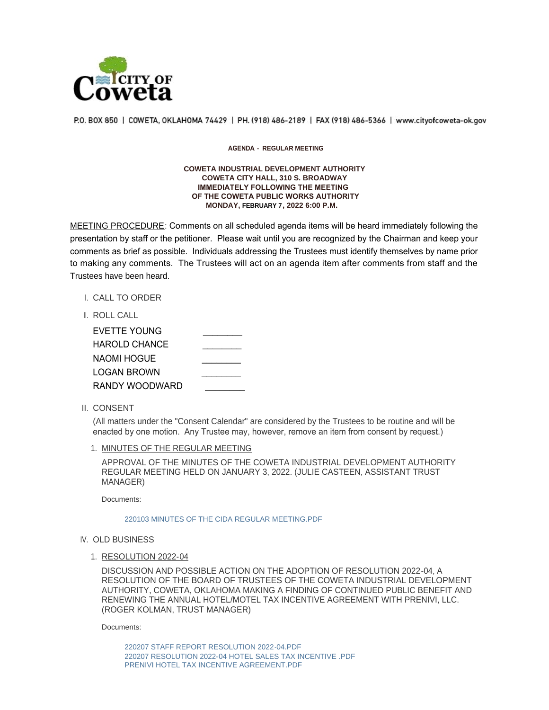

P.O. BOX 850 | COWETA, OKLAHOMA 74429 | PH. (918) 486-2189 | FAX (918) 486-5366 | www.cityofcoweta-ok.gov

## **AGENDA - REGULAR MEETING**

## **COWETA INDUSTRIAL DEVELOPMENT AUTHORITY COWETA CITY HALL, 310 S. BROADWAY IMMEDIATELY FOLLOWING THE MEETING OF THE COWETA PUBLIC WORKS AUTHORITY MONDAY, FEBRUARY 7, 2022 6:00 P.M.**

MEETING PROCEDURE: Comments on all scheduled agenda items will be heard immediately following the presentation by staff or the petitioner. Please wait until you are recognized by the Chairman and keep your comments as brief as possible. Individuals addressing the Trustees must identify themselves by name prior to making any comments. The Trustees will act on an agenda item after comments from staff and the Trustees have been heard.

- I. CALL TO ORDER
- ROLL CALL II.

| EVETTE YOUNG   |  |
|----------------|--|
| HAROLD CHANCE  |  |
| NAOMI HOGUE    |  |
| LOGAN BROWN    |  |
| RANDY WOODWARD |  |

III. CONSENT

(All matters under the "Consent Calendar" are considered by the Trustees to be routine and will be enacted by one motion. Any Trustee may, however, remove an item from consent by request.)

1. MINUTES OF THE REGULAR MEETING

APPROVAL OF THE MINUTES OF THE COWETA INDUSTRIAL DEVELOPMENT AUTHORITY REGULAR MEETING HELD ON JANUARY 3, 2022. (JULIE CASTEEN, ASSISTANT TRUST MANAGER)

Documents:

[220103 MINUTES OF THE CIDA REGULAR MEETING.PDF](http://www.cityofcoweta-ok.gov/AgendaCenter/ViewFile/Item/3208?fileID=3038)

## IV. OLD BUSINESS

1. RESOLUTION 2022-04

DISCUSSION AND POSSIBLE ACTION ON THE ADOPTION OF RESOLUTION 2022-04, A RESOLUTION OF THE BOARD OF TRUSTEES OF THE COWETA INDUSTRIAL DEVELOPMENT AUTHORITY, COWETA, OKLAHOMA MAKING A FINDING OF CONTINUED PUBLIC BENEFIT AND RENEWING THE ANNUAL HOTEL/MOTEL TAX INCENTIVE AGREEMENT WITH PRENIVI, LLC. (ROGER KOLMAN, TRUST MANAGER)

Documents:

[220207 STAFF REPORT RESOLUTION 2022-04.PDF](http://www.cityofcoweta-ok.gov/AgendaCenter/ViewFile/Item/3207?fileID=3027) [220207 RESOLUTION 2022-04 HOTEL SALES TAX INCENTIVE .PDF](http://www.cityofcoweta-ok.gov/AgendaCenter/ViewFile/Item/3207?fileID=3024) [PRENIVI HOTEL TAX INCENTIVE AGREEMENT.PDF](http://www.cityofcoweta-ok.gov/AgendaCenter/ViewFile/Item/3207?fileID=3026)